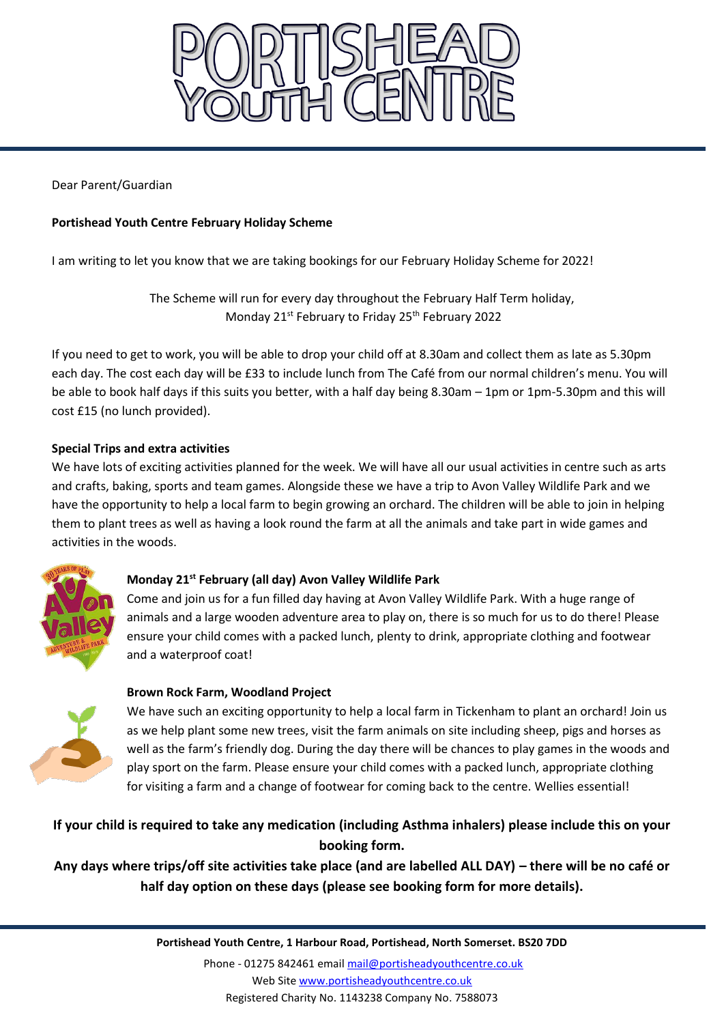

Dear Parent/Guardian

# **Portishead Youth Centre February Holiday Scheme**

I am writing to let you know that we are taking bookings for our February Holiday Scheme for 2022!

The Scheme will run for every day throughout the February Half Term holiday, Monday 21<sup>st</sup> February to Friday 25<sup>th</sup> February 2022

If you need to get to work, you will be able to drop your child off at 8.30am and collect them as late as 5.30pm each day. The cost each day will be £33 to include lunch from The Café from our normal children's menu. You will be able to book half days if this suits you better, with a half day being 8.30am – 1pm or 1pm-5.30pm and this will cost £15 (no lunch provided).

# **Special Trips and extra activities**

We have lots of exciting activities planned for the week. We will have all our usual activities in centre such as arts and crafts, baking, sports and team games. Alongside these we have a trip to Avon Valley Wildlife Park and we have the opportunity to help a local farm to begin growing an orchard. The children will be able to join in helping them to plant trees as well as having a look round the farm at all the animals and take part in wide games and activities in the woods.



### **Monday 21st February (all day) Avon Valley Wildlife Park**

Come and join us for a fun filled day having at Avon Valley Wildlife Park. With a huge range of animals and a large wooden adventure area to play on, there is so much for us to do there! Please ensure your child comes with a packed lunch, plenty to drink, appropriate clothing and footwear and a waterproof coat!



# **Brown Rock Farm, Woodland Project**

We have such an exciting opportunity to help a local farm in Tickenham to plant an orchard! Join us as we help plant some new trees, visit the farm animals on site including sheep, pigs and horses as well as the farm's friendly dog. During the day there will be chances to play games in the woods and play sport on the farm. Please ensure your child comes with a packed lunch, appropriate clothing for visiting a farm and a change of footwear for coming back to the centre. Wellies essential!

# **If your child is required to take any medication (including Asthma inhalers) please include this on your booking form.**

**Any days where trips/off site activities take place (and are labelled ALL DAY) – there will be no café or half day option on these days (please see booking form for more details).**